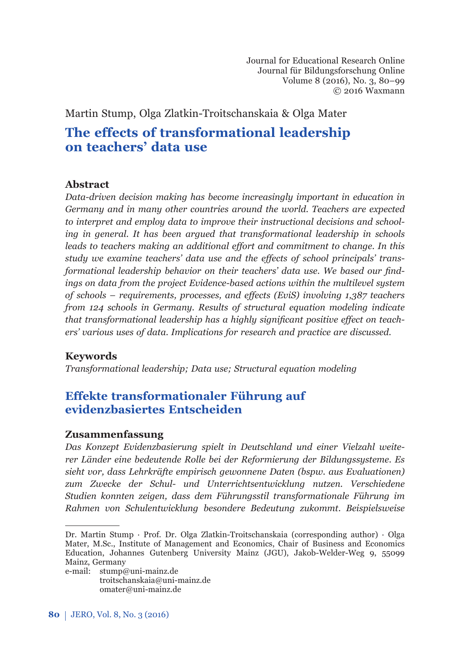Journal for Educational Research Online Journal für Bildungsforschung Online Volume 8 (2016), No. 3, 80–99 © 2016 Waxmann

Martin Stump, Olga Zlatkin-Troitschanskaia & Olga Mater

# **The eff ects of transformational leadership on teachers' data use**

#### **Abstract**

*Data-driven decision making has become increasingly important in education in Germany and in many other countries around the world. Teachers are expected to interpret and employ data to improve their instructional decisions and schooling in general. It has been argued that transformational leadership in schools leads to teachers making an additional eff ort and commitment to change. In this study we examine teachers' data use and the eff ects of school principals' trans*formational leadership behavior on their teachers' data use. We based our find*ings on data from the project Evidence-based actions within the multilevel sustem of schools – requirements, processes, and eff ects (EviS) involving 1,387 teachers from 124 schools in Germany. Results of structural equation modeling indicate that transformational leadership has a highly significant positive effect on teachers' various uses of data. Implications for research and practice are discussed.*

## **Keywords**

*Transformational leadership; Data use; Structural equation modeling* 

# **Eff ekte transformationaler Führung auf evidenzbasiertes Entscheiden**

#### **Zusammenfassung**

*Das Konzept Evidenzbasierung spielt in Deutschland und einer Vielzahl weiterer Länder eine bedeutende Rolle bei der Reformierung der Bildungssysteme. Es sieht vor, dass Lehrkräfte empirisch gewonnene Daten (bspw. aus Evaluationen) zum Zwecke der Schul- und Unterrichtsentwicklung nutzen. Verschiedene Studien konnten zeigen, dass dem Führungsstil transformationale Führung im Rahmen von Schulentwicklung besondere Bedeutung zukommt. Beispielsweise* 

e-mail: stump@uni-mainz.de troitschanskaia@uni-mainz.de omater@uni-mainz.de

Dr. Martin Stump · Prof. Dr. Olga Zlatkin-Troitschanskaia (corresponding author) · Olga Mater, M.Sc., Institute of Management and Economics, Chair of Business and Economics Education, Johannes Gutenberg University Mainz (JGU), Jakob-Welder-Weg 9, 55099 Mainz, Germany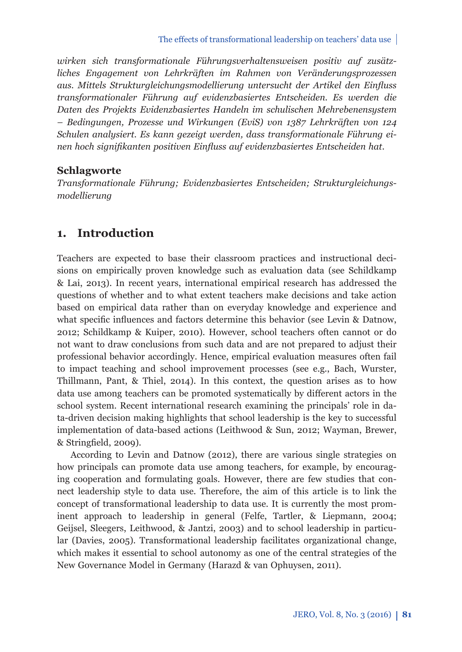*wirken sich transformationale Führungsverhaltensweisen positiv auf zusätzliches Engagement von Lehrkräften im Rahmen von Veränderungsprozessen aus. Mittels Strukturgleichungsmodellierung untersucht der Artikel den Einfl uss transformationaler Führung auf evidenzbasiertes Entscheiden. Es werden die Daten des Projekts Evidenzbasiertes Handeln im schulischen Mehrebenensystem – Bedingungen, Prozesse und Wirkungen (EviS) von 1387 Lehrkräften von 124 Schulen analysiert. Es kann gezeigt werden, dass transformationale Führung einen hoch signifi kanten positiven Einfl uss auf evidenzbasiertes Entscheiden hat.*

## **Schlagworte**

*Transformationale Führung; Evidenzbasiertes Entscheiden; Strukturgleichungsmodellierung*

# **1. Introduction**

Teachers are expected to base their classroom practices and instructional decisions on empirically proven knowledge such as evaluation data (see Schildkamp & Lai, 2013). In recent years, international empirical research has addressed the questions of whether and to what extent teachers make decisions and take action based on empirical data rather than on everyday knowledge and experience and what specific influences and factors determine this behavior (see Levin & Datnow, 2012; Schildkamp & Kuiper, 2010). However, school teachers often cannot or do not want to draw conclusions from such data and are not prepared to adjust their professional behavior accordingly. Hence, empirical evaluation measures often fail to impact teaching and school improvement processes (see e.g., Bach, Wurster, Thillmann, Pant, & Thiel, 2014). In this context, the question arises as to how data use among teachers can be promoted systematically by different actors in the school system. Recent international research examining the principals' role in data-driven decision making highlights that school leadership is the key to successful implementation of data-based actions (Leithwood & Sun, 2012; Wayman, Brewer,  $&$  Stringfield, 2009).

According to Levin and Datnow (2012), there are various single strategies on how principals can promote data use among teachers, for example, by encouraging cooperation and formulating goals. However, there are few studies that connect leadership style to data use. Therefore, the aim of this article is to link the concept of transformational leadership to data use. It is currently the most prominent approach to leadership in general (Felfe, Tartler, & Liepmann, 2004; Geijsel, Sleegers, Leithwood, & Jantzi, 2003) and to school leadership in particular (Davies, 2005). Transformational leadership facilitates organizational change, which makes it essential to school autonomy as one of the central strategies of the New Governance Model in Germany (Harazd & van Ophuysen, 2011).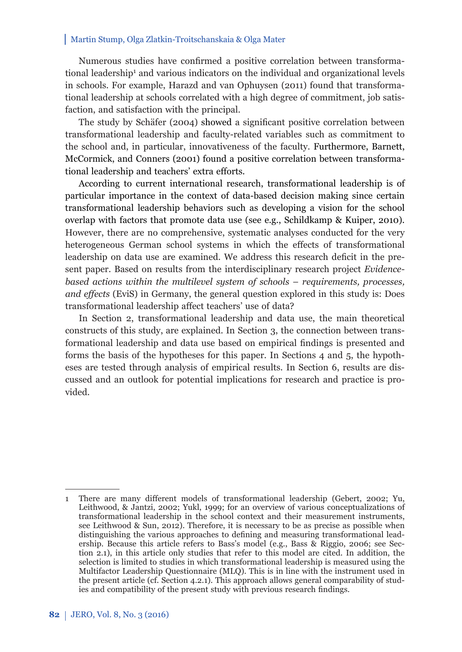Numerous studies have confirmed a positive correlation between transformational leadership<sup>1</sup> and various indicators on the individual and organizational levels in schools. For example, Harazd and van Ophuysen (2011) found that transformational leadership at schools correlated with a high degree of commitment, job satisfaction, and satisfaction with the principal.

The study by Schäfer (2004) showed a significant positive correlation between transformational leadership and faculty-related variables such as commitment to the school and, in particular, innovativeness of the faculty. Furthermore, Barnett, McCormick, and Conners (2001) found a positive correlation between transformational leadership and teachers' extra efforts.

According to current international research, transformational leadership is of particular importance in the context of data-based decision making since certain transformational leadership behaviors such as developing a vision for the school overlap with factors that promote data use (see e.g., Schildkamp & Kuiper, 2010). However, there are no comprehensive, systematic analyses conducted for the very heterogeneous German school systems in which the effects of transformational leadership on data use are examined. We address this research deficit in the present paper. Based on results from the interdisciplinary research project *Evidencebased actions within the multilevel system of schools* – *requirements, processes, and effects* (EviS) in Germany, the general question explored in this study is: Does transformational leadership affect teachers' use of data?

In Section 2, transformational leadership and data use, the main theoretical constructs of this study, are explained. In Section 3, the connection between transformational leadership and data use based on empirical findings is presented and forms the basis of the hypotheses for this paper. In Sections 4 and 5, the hypotheses are tested through analysis of empirical results. In Section 6, results are discussed and an outlook for potential implications for research and practice is provided.

<sup>1</sup> There are many different models of transformational leadership (Gebert, 2002; Yu, Leithwood, & Jantzi, 2002; Yukl, 1999; for an overview of various conceptualizations of transformational leadership in the school context and their measurement instruments, see Leithwood & Sun, 2012). Therefore, it is necessary to be as precise as possible when distinguishing the various approaches to defining and measuring transformational leadership. Because this article refers to Bass's model (e.g., Bass & Riggio, 2006; see Section 2.1), in this article only studies that refer to this model are cited. In addition, the selection is limited to studies in which transformational leadership is measured using the Multifactor Leadership Questionnaire (MLQ). This is in line with the instrument used in the present article (cf. Section 4.2.1). This approach allows general comparability of studies and compatibility of the present study with previous research findings.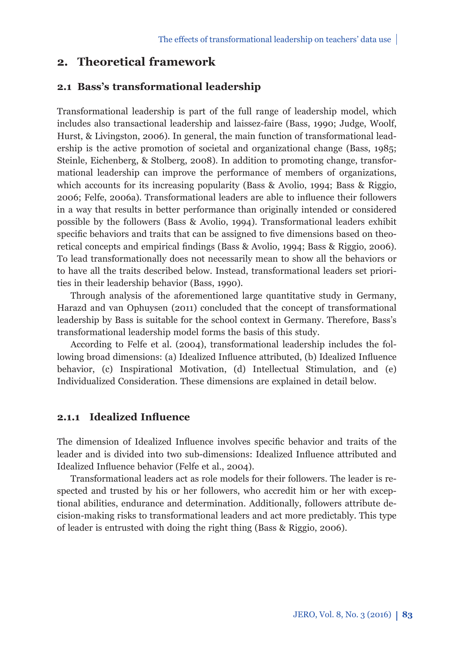# **2. Theoretical framework**

#### **2.1 Bass's transformational leadership**

Transformational leadership is part of the full range of leadership model, which includes also transactional leadership and laissez-faire (Bass, 1990; Judge, Woolf, Hurst, & Livingston, 2006). In general, the main function of transformational leadership is the active promotion of societal and organizational change (Bass, 1985; Steinle, Eichenberg, & Stolberg, 2008). In addition to promoting change, transformational leadership can improve the performance of members of organizations, which accounts for its increasing popularity (Bass & Avolio, 1994; Bass & Riggio, 2006; Felfe, 2006a). Transformational leaders are able to influence their followers in a way that results in better performance than originally intended or considered possible by the followers (Bass & Avolio, 1994). Transformational leaders exhibit specific behaviors and traits that can be assigned to five dimensions based on theoretical concepts and empirical findings (Bass & Avolio, 1994; Bass & Riggio, 2006). To lead transformationally does not necessarily mean to show all the behaviors or to have all the traits described below. Instead, transformational leaders set priorities in their leadership behavior (Bass, 1990).

Through analysis of the aforementioned large quantitative study in Germany, Harazd and van Ophuysen (2011) concluded that the concept of transformational leadership by Bass is suitable for the school context in Germany. Therefore, Bass's transformational leadership model forms the basis of this study.

According to Felfe et al. (2004), transformational leadership includes the following broad dimensions: (a) Idealized Influence attributed, (b) Idealized Influence behavior, (c) Inspirational Motivation, (d) Intellectual Stimulation, and (e) Individualized Consideration. These dimensions are explained in detail below.

### **2.1.1 Idealized Influence**

The dimension of Idealized Influence involves specific behavior and traits of the leader and is divided into two sub-dimensions: Idealized Influence attributed and Idealized Influence behavior (Felfe et al., 2004).

Transformational leaders act as role models for their followers. The leader is respected and trusted by his or her followers, who accredit him or her with exceptional abilities, endurance and determination. Additionally, followers attribute decision-making risks to transformational leaders and act more predictably. This type of leader is entrusted with doing the right thing (Bass & Riggio, 2006).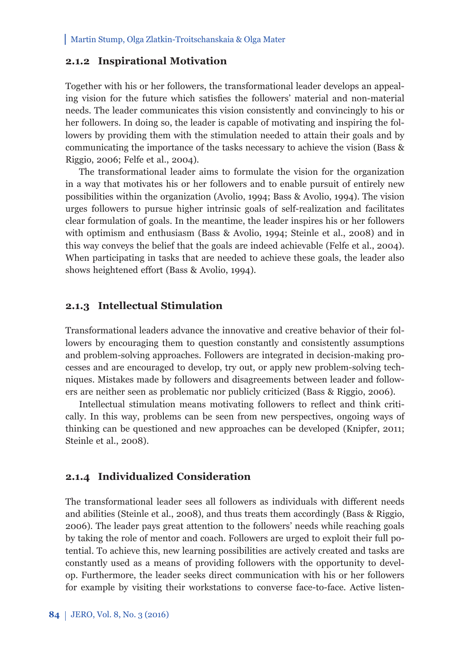### **2.1.2 Inspirational Motivation**

Together with his or her followers, the transformational leader develops an appealing vision for the future which satisfies the followers' material and non-material needs. The leader communicates this vision consistently and convincingly to his or her followers. In doing so, the leader is capable of motivating and inspiring the followers by providing them with the stimulation needed to attain their goals and by communicating the importance of the tasks necessary to achieve the vision (Bass & Riggio, 2006; Felfe et al., 2004).

The transformational leader aims to formulate the vision for the organization in a way that motivates his or her followers and to enable pursuit of entirely new possibilities within the organization (Avolio, 1994; Bass & Avolio, 1994). The vision urges followers to pursue higher intrinsic goals of self-realization and facilitates clear formulation of goals. In the meantime, the leader inspires his or her followers with optimism and enthusiasm (Bass & Avolio, 1994; Steinle et al., 2008) and in this way conveys the belief that the goals are indeed achievable (Felfe et al., 2004). When participating in tasks that are needed to achieve these goals, the leader also shows heightened effort (Bass & Avolio, 1994).

#### **2.1.3 Intellectual Stimulation**

Transformational leaders advance the innovative and creative behavior of their followers by encouraging them to question constantly and consistently assumptions and problem-solving approaches. Followers are integrated in decision-making processes and are encouraged to develop, try out, or apply new problem-solving techniques. Mistakes made by followers and disagreements between leader and followers are neither seen as problematic nor publicly criticized (Bass & Riggio, 2006).

Intellectual stimulation means motivating followers to reflect and think critically. In this way, problems can be seen from new perspectives, ongoing ways of thinking can be questioned and new approaches can be developed (Knipfer, 2011; Steinle et al., 2008).

## **2.1.4 Individualized Consideration**

The transformational leader sees all followers as individuals with different needs and abilities (Steinle et al., 2008), and thus treats them accordingly (Bass & Riggio, 2006). The leader pays great attention to the followers' needs while reaching goals by taking the role of mentor and coach. Followers are urged to exploit their full potential. To achieve this, new learning possibilities are actively created and tasks are constantly used as a means of providing followers with the opportunity to develop. Furthermore, the leader seeks direct communication with his or her followers for example by visiting their workstations to converse face-to-face. Active listen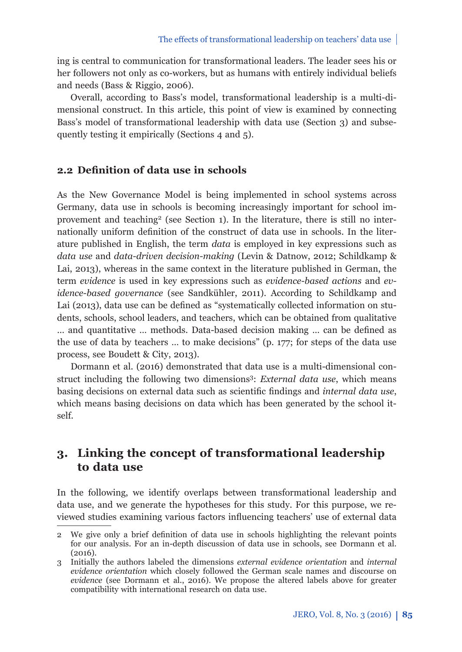ing is central to communication for transformational leaders. The leader sees his or her followers not only as co-workers, but as humans with entirely individual beliefs and needs (Bass & Riggio, 2006).

Overall, according to Bass's model, transformational leadership is a multi-dimensional construct. In this article, this point of view is examined by connecting Bass's model of transformational leadership with data use (Section 3) and subsequently testing it empirically (Sections 4 and 5).

# **2.2 Definition of data use in schools**

As the New Governance Model is being implemented in school systems across Germany, data use in schools is becoming increasingly important for school improvement and teaching<sup>2</sup> (see Section 1). In the literature, there is still no internationally uniform definition of the construct of data use in schools. In the literature published in English, the term *data* is employed in key expressions such as *data use* and *data-driven decision-making* (Levin & Datnow, 2012; Schildkamp & Lai, 2013), whereas in the same context in the literature published in German, the term *evidence* is used in key expressions such as *evidence-based actions* and *evidence-based governance* (see Sandkühler, 2011). According to Schildkamp and Lai (2013), data use can be defined as "systematically collected information on students, schools, school leaders, and teachers, which can be obtained from qualitative  $\dots$  and quantitative  $\dots$  methods. Data-based decision making  $\dots$  can be defined as the use of data by teachers … to make decisions" (p. 177; for steps of the data use process, see Boudett & City, 2013).

Dormann et al. (2016) demonstrated that data use is a multi-dimensional construct including the following two dimensions3: *External data use*, which means basing decisions on external data such as scientific findings and *internal data use*, which means basing decisions on data which has been generated by the school itself.

# **3. Linking the concept of transformational leadership to data use**

In the following, we identify overlaps between transformational leadership and data use, and we generate the hypotheses for this study. For this purpose, we reviewed studies examining various factors influencing teachers' use of external data

<sup>2</sup> We give only a brief definition of data use in schools highlighting the relevant points for our analysis. For an in-depth discussion of data use in schools, see Dormann et al. (2016).

<sup>3</sup> Initially the authors labeled the dimensions *external evidence orientation* and *internal evidence orientation* which closely followed the German scale names and discourse on *evidence* (see Dormann et al., 2016). We propose the altered labels above for greater compatibility with international research on data use.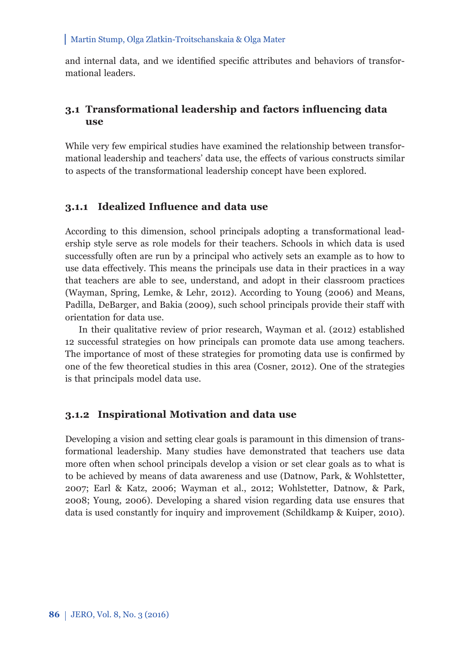and internal data, and we identified specific attributes and behaviors of transformational leaders.

## **3.1 Transformational leadership and factors infl uencing data use**

While very few empirical studies have examined the relationship between transformational leadership and teachers' data use, the effects of various constructs similar to aspects of the transformational leadership concept have been explored.

#### **3.1.1 Idealized Influence and data use**

According to this dimension, school principals adopting a transformational leadership style serve as role models for their teachers. Schools in which data is used successfully often are run by a principal who actively sets an example as to how to use data effectively. This means the principals use data in their practices in a way that teachers are able to see, understand, and adopt in their classroom practices (Wayman, Spring, Lemke, & Lehr, 2012). According to Young (2006) and Means, Padilla, DeBarger, and Bakia (2009), such school principals provide their staff with orientation for data use.

In their qualitative review of prior research, Wayman et al. (2012) established 12 successful strategies on how principals can promote data use among teachers. The importance of most of these strategies for promoting data use is confirmed by one of the few theoretical studies in this area (Cosner, 2012). One of the strategies is that principals model data use.

### **3.1.2 Inspirational Motivation and data use**

Developing a vision and setting clear goals is paramount in this dimension of transformational leadership. Many studies have demonstrated that teachers use data more often when school principals develop a vision or set clear goals as to what is to be achieved by means of data awareness and use (Datnow, Park, & Wohlstetter, 2007; Earl & Katz, 2006; Wayman et al., 2012; Wohlstetter, Datnow, & Park, 2008; Young, 2006). Developing a shared vision regarding data use ensures that data is used constantly for inquiry and improvement (Schildkamp & Kuiper, 2010).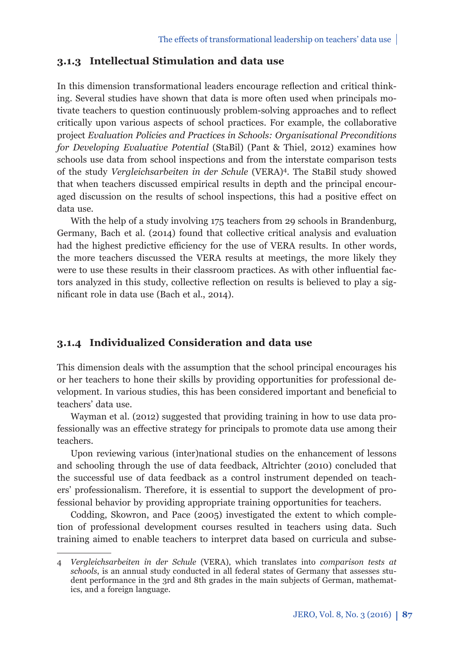## **3.1.3 Intellectual Stimulation and data use**

In this dimension transformational leaders encourage reflection and critical thinking. Several studies have shown that data is more often used when principals motivate teachers to question continuously problem-solving approaches and to reflect critically upon various aspects of school practices. For example, the collaborative project *Evaluation Policies and Practices in Schools: Organisational Preconditions for Developing Evaluative Potential* (StaBil) (Pant & Thiel, 2012) examines how schools use data from school inspections and from the interstate comparison tests of the study *Vergleichsarbeiten in der Schule* (VERA)4. The StaBil study showed that when teachers discussed empirical results in depth and the principal encouraged discussion on the results of school inspections, this had a positive effect on data use.

With the help of a study involving 175 teachers from 29 schools in Brandenburg, Germany, Bach et al. (2014) found that collective critical analysis and evaluation had the highest predictive efficiency for the use of VERA results. In other words, the more teachers discussed the VERA results at meetings, the more likely they were to use these results in their classroom practices. As with other influential factors analyzed in this study, collective reflection on results is believed to play a significant role in data use (Bach et al., 2014).

## **3.1.4 Individualized Consideration and data use**

This dimension deals with the assumption that the school principal encourages his or her teachers to hone their skills by providing opportunities for professional development. In various studies, this has been considered important and beneficial to teachers' data use.

Wayman et al. (2012) suggested that providing training in how to use data professionally was an effective strategy for principals to promote data use among their teachers.

Upon reviewing various (inter)national studies on the enhancement of lessons and schooling through the use of data feedback, Altrichter (2010) concluded that the successful use of data feedback as a control instrument depended on teachers' professionalism. Therefore, it is essential to support the development of professional behavior by providing appropriate training opportunities for teachers.

Codding, Skowron, and Pace (2005) investigated the extent to which completion of professional development courses resulted in teachers using data. Such training aimed to enable teachers to interpret data based on curricula and subse-

<sup>4</sup> *Vergleichsarbeiten in der Schule* (VERA), which translates into *comparison tests at schools*, is an annual study conducted in all federal states of Germany that assesses student performance in the 3rd and 8th grades in the main subjects of German, mathematics, and a foreign language.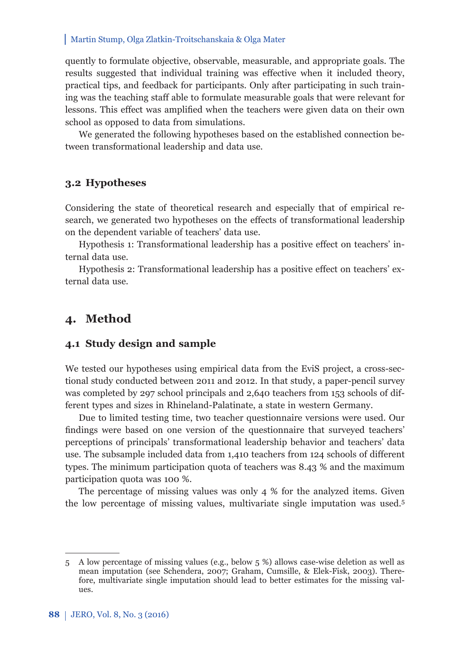quently to formulate objective, observable, measurable, and appropriate goals. The results suggested that individual training was effective when it included theory, practical tips, and feedback for participants. Only after participating in such training was the teaching staff able to formulate measurable goals that were relevant for lessons. This effect was amplified when the teachers were given data on their own school as opposed to data from simulations.

We generated the following hypotheses based on the established connection between transformational leadership and data use.

#### **3.2 Hypotheses**

Considering the state of theoretical research and especially that of empirical research, we generated two hypotheses on the effects of transformational leadership on the dependent variable of teachers' data use.

Hypothesis 1: Transformational leadership has a positive effect on teachers' internal data use.

Hypothesis 2: Transformational leadership has a positive effect on teachers' external data use.

# **4. Method**

### **4.1 Study design and sample**

We tested our hypotheses using empirical data from the EviS project, a cross-sectional study conducted between 2011 and 2012. In that study, a paper-pencil survey was completed by 297 school principals and 2,640 teachers from 153 schools of different types and sizes in Rhineland-Palatinate, a state in western Germany.

Due to limited testing time, two teacher questionnaire versions were used. Our findings were based on one version of the questionnaire that surveyed teachers' perceptions of principals' transformational leadership behavior and teachers' data use. The subsample included data from 1,410 teachers from 124 schools of different types. The minimum participation quota of teachers was 8.43 % and the maximum participation quota was 100 %.

The percentage of missing values was only 4 % for the analyzed items. Given the low percentage of missing values, multivariate single imputation was used.5

<sup>5</sup> A low percentage of missing values (e.g., below 5 %) allows case-wise deletion as well as mean imputation (see Schendera, 2007; Graham, Cumsille, & Elek-Fisk, 2003). Therefore, multivariate single imputation should lead to better estimates for the missing values.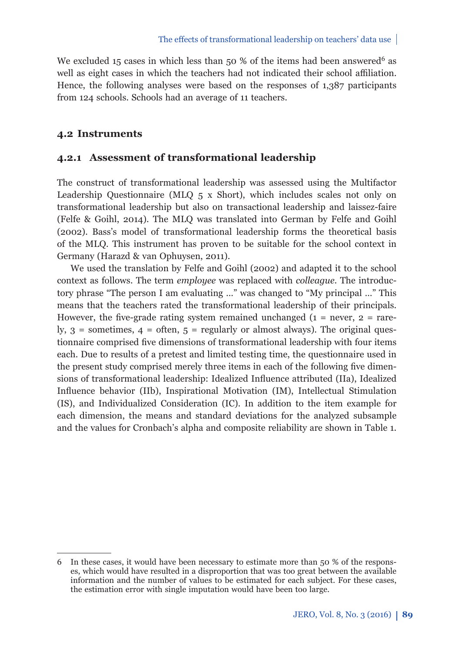We excluded 15 cases in which less than 50 % of the items had been answered<sup>6</sup> as well as eight cases in which the teachers had not indicated their school affiliation. Hence, the following analyses were based on the responses of 1,387 participants from 124 schools. Schools had an average of 11 teachers.

### **4.2 Instruments**

#### **4.2.1 Assessment of transformational leadership**

The construct of transformational leadership was assessed using the Multifactor Leadership Questionnaire (MLQ 5 x Short), which includes scales not only on transformational leadership but also on transactional leadership and laissez-faire (Felfe & Goihl, 2014). The MLQ was translated into German by Felfe and Goihl (2002). Bass's model of transformational leadership forms the theoretical basis of the MLQ. This instrument has proven to be suitable for the school context in Germany (Harazd & van Ophuysen, 2011).

We used the translation by Felfe and Goihl (2002) and adapted it to the school context as follows. The term *employee* was replaced with *colleague*. The introductory phrase "The person I am evaluating …" was changed to "My principal …" This means that the teachers rated the transformational leadership of their principals. However, the five-grade rating system remained unchanged ( $1 =$  never,  $2 =$  rarely,  $3 =$  sometimes,  $4 =$  often,  $5 =$  regularly or almost always). The original questionnaire comprised five dimensions of transformational leadership with four items each. Due to results of a pretest and limited testing time, the questionnaire used in the present study comprised merely three items in each of the following five dimensions of transformational leadership: Idealized Influence attributed (IIa), Idealized Influence behavior (IIb), Inspirational Motivation (IM), Intellectual Stimulation (IS), and Individualized Consideration (IC)*.* In addition to the item example for each dimension, the means and standard deviations for the analyzed subsample and the values for Cronbach's alpha and composite reliability are shown in Table 1.

<sup>6</sup> In these cases, it would have been necessary to estimate more than 50 % of the responses, which would have resulted in a disproportion that was too great between the available information and the number of values to be estimated for each subject. For these cases, the estimation error with single imputation would have been too large.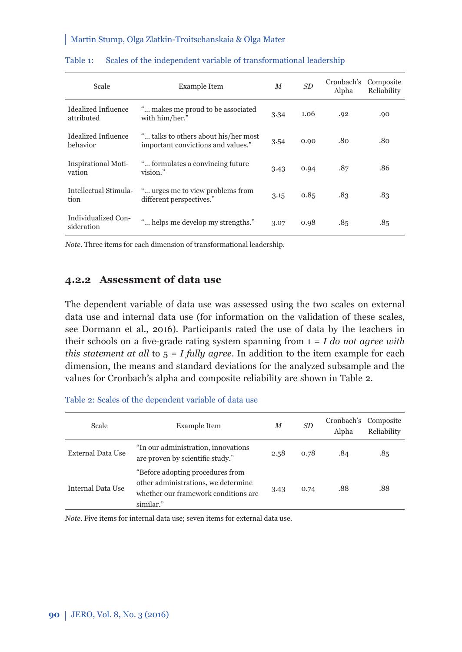| Scale                             | <b>Example Item</b>                                                        | M    | SD   | Cronbach's<br>Alpha | Composite<br>Reliability |
|-----------------------------------|----------------------------------------------------------------------------|------|------|---------------------|--------------------------|
| Idealized Influence<br>attributed | " makes me proud to be associated<br>with him/her."                        | 3.34 | 1.06 | .92                 | .90                      |
| Idealized Influence<br>behavior   | " talks to others about his/her most<br>important convictions and values." | 3.54 | 0.90 | .80                 | .80                      |
| Inspirational Moti-<br>vation     | " formulates a convincing future"<br>vision."                              | 3.43 | 0.94 | .87                 | .86                      |
| Intellectual Stimula-<br>tion     | " urges me to view problems from<br>different perspectives."               | 3.15 | 0.85 | .83                 | .83                      |
| Individualized Con-<br>sideration | " helps me develop my strengths."                                          | 3.07 | 0.98 | .85                 | .85                      |

#### Table 1: Scales of the independent variable of transformational leadership

*Note.* Three items for each dimension of transformational leadership.

## **4.2.2 Assessment of data use**

The dependent variable of data use was assessed using the two scales on external data use and internal data use (for information on the validation of these scales, see Dormann et al., 2016). Participants rated the use of data by the teachers in their schools on a five-grade rating system spanning from  $1 = I$  do not agree with *this statement at all* to 5 = *I fully agree*. In addition to the item example for each dimension, the means and standard deviations for the analyzed subsample and the values for Cronbach's alpha and composite reliability are shown in Table 2.

| Table 2: Scales of the dependent variable of data use |  |
|-------------------------------------------------------|--|
|-------------------------------------------------------|--|

| Scale             | <b>Example Item</b>                                                                                                          | М    | SD <sub></sub> | Cronbach's<br>Alpha | Composite<br>Reliability |
|-------------------|------------------------------------------------------------------------------------------------------------------------------|------|----------------|---------------------|--------------------------|
| External Data Use | "In our administration, innovations<br>are proven by scientific study."                                                      | 2.58 | 0.78           | .84                 | .85                      |
| Internal Data Use | "Before adopting procedures from<br>other administrations, we determine<br>whether our framework conditions are<br>similar." | 3.43 | 0.74           | .88                 | .88                      |

*Note*. Five items for internal data use; seven items for external data use.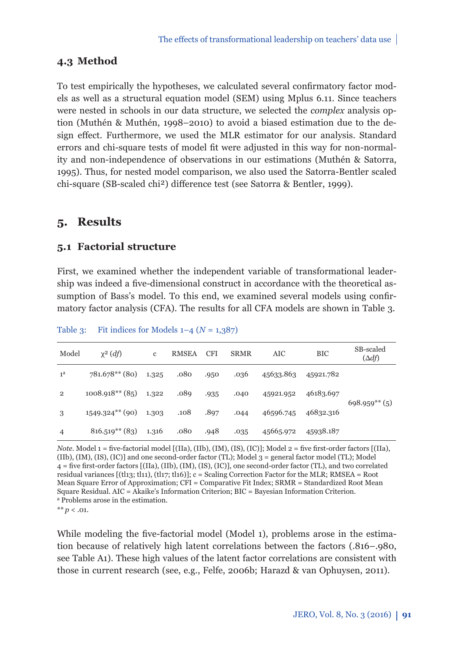# **4.3 Method**

To test empirically the hypotheses, we calculated several confirmatory factor models as well as a structural equation model (SEM) using Mplus 6.11. Since teachers were nested in schools in our data structure, we selected the *complex* analysis option (Muthén & Muthén, 1998–2010) to avoid a biased estimation due to the design effect. Furthermore, we used the MLR estimator for our analysis. Standard errors and chi-square tests of model fit were adjusted in this way for non-normality and non-independence of observations in our estimations (Muthén & Satorra, 1995). Thus, for nested model comparison, we also used the Satorra-Bentler scaled chi-square (SB-scaled chi<sup>2</sup>) difference test (see Satorra & Bentler, 1999).

# **5. Results**

# **5.1 Factorial structure**

First, we examined whether the independent variable of transformational leadership was indeed a five-dimensional construct in accordance with the theoretical assumption of Bass's model. To this end, we examined several models using confirmatory factor analysis (CFA). The results for all CFA models are shown in Table 3.

| Model          | $\chi^2$ (df)              | c     | <b>RMSEA</b> | <b>CFI</b> | <b>SRMR</b> | AIC       | <b>BIC</b> | SB-scaled<br>$(\Delta df)$ |
|----------------|----------------------------|-------|--------------|------------|-------------|-----------|------------|----------------------------|
| $1^{\rm a}$    | 781.678** (80)             | 1.325 | .080         | .950       | .036        | 45633.863 | 45921.782  |                            |
| $\overline{2}$ | $1008.918**$ (85)          | 1.322 | .089         | .935       | .040        | 45921.952 | 46183.697  |                            |
| 3              | $1549.324***$ (90) $1.303$ |       | .108         | .897       | .044        | 46596.745 | 46832.316  | $698.959**$ (5)            |
| $\overline{4}$ | $816.519**$ (83)           | 1.316 | .080         | .948       | .035        | 45665.972 | 45938.187  |                            |

Table 3: Fit indices for Models  $1-4$   $(N = 1,387)$ 

*Note*. Model 1 = five-factorial model [(IIa), (IIb), (IM), (IS), (IC)]; Model 2 = five first-order factors [(IIa), (IIb), (IM), (IS), (IC)] and one second-order factor (TL); Model 3 = general factor model (TL); Model 4 = five first-order factors [(IIa), (IIb), (IM), (IS), (IC)], one second-order factor (TL), and two correlated residual variances [(tl13; tl11), (tl17; tl16)]; c = Scaling Correction Factor for the MLR; RMSEA = Root Mean Square Error of Approximation; CFI = Comparative Fit Index; SRMR = Standardized Root Mean Square Residual. AIC = Akaike's Information Criterion; BIC = Bayesian Information Criterion. a Problems arose in the estimation.

 $** p < .01$ .

While modeling the five-factorial model (Model 1), problems arose in the estimation because of relatively high latent correlations between the factors (.816–.980, see Table A1). These high values of the latent factor correlations are consistent with those in current research (see, e.g., Felfe, 2006b; Harazd & van Ophuysen, 2011).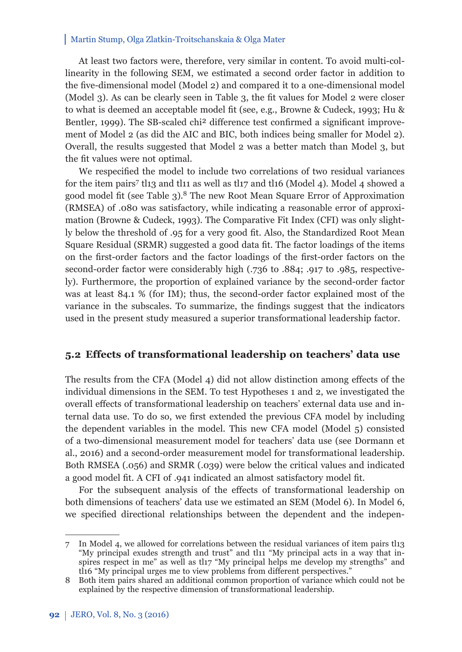At least two factors were, therefore, very similar in content. To avoid multi-collinearity in the following SEM, we estimated a second order factor in addition to the five-dimensional model (Model 2) and compared it to a one-dimensional model (Model 3). As can be clearly seen in Table 3, the fit values for Model 2 were closer to what is deemed an acceptable model fit (see, e.g., Browne & Cudeck, 1993; Hu & Bentler, 1999). The SB-scaled chi<sup>2</sup> difference test confirmed a significant improvement of Model 2 (as did the AIC and BIC, both indices being smaller for Model 2). Overall, the results suggested that Model 2 was a better match than Model 3, but the fit values were not optimal.

We respecified the model to include two correlations of two residual variances for the item pairs<sup>7</sup> tl13 and tl11 as well as tl17 and tl16 (Model 4). Model 4 showed a good model fit (see Table  $3$ ).<sup>8</sup> The new Root Mean Square Error of Approximation (RMSEA) of .080 was satisfactory, while indicating a reasonable error of approximation (Browne & Cudeck, 1993). The Comparative Fit Index (CFI) was only slightly below the threshold of .95 for a very good fit. Also, the Standardized Root Mean Square Residual (SRMR) suggested a good data fit. The factor loadings of the items on the first-order factors and the factor loadings of the first-order factors on the second-order factor were considerably high (.736 to .884; .917 to .985, respectively). Furthermore, the proportion of explained variance by the second-order factor was at least 84.1 % (for IM); thus, the second-order factor explained most of the variance in the subscales. To summarize, the findings suggest that the indicators used in the present study measured a superior transformational leadership factor.

#### **5.2 Eff ects of transformational leadership on teachers' data use**

The results from the CFA (Model  $4$ ) did not allow distinction among effects of the individual dimensions in the SEM. To test Hypotheses 1 and 2, we investigated the overall effects of transformational leadership on teachers' external data use and internal data use. To do so, we first extended the previous CFA model by including the dependent variables in the model. This new CFA model (Model 5) consisted of a two-dimensional measurement model for teachers' data use (see Dormann et al., 2016) and a second-order measurement model for transformational leadership. Both RMSEA (.056) and SRMR (.039) were below the critical values and indicated a good model fit. A CFI of .941 indicated an almost satisfactory model fit.

For the subsequent analysis of the effects of transformational leadership on both dimensions of teachers' data use we estimated an SEM (Model 6). In Model 6, we specified directional relationships between the dependent and the indepen-

<sup>7</sup> In Model 4, we allowed for correlations between the residual variances of item pairs tl13 "My principal exudes strength and trust" and tl11 "My principal acts in a way that inspires respect in me" as well as tl17 "My principal helps me develop my strengths" and tl16 "My principal urges me to view problems from different perspectives."

<sup>8</sup> Both item pairs shared an additional common proportion of variance which could not be explained by the respective dimension of transformational leadership.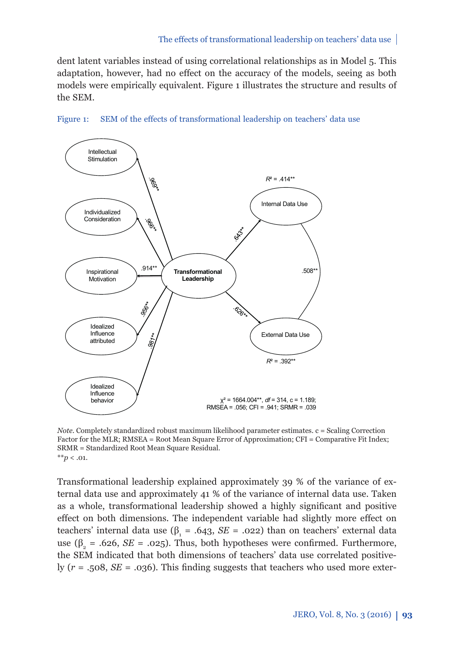dent latent variables instead of using correlational relationships as in Model 5. This adaptation, however, had no effect on the accuracy of the models, seeing as both models were empirically equivalent. Figure 1 illustrates the structure and results of the SEM.



Figure 1: SEM of the effects of transformational leadership on teachers' data use

*Note*. Completely standardized robust maximum likelihood parameter estimates. c = Scaling Correction Factor for the MLR; RMSEA = Root Mean Square Error of Approximation; CFI = Comparative Fit Index; SRMR = Standardized Root Mean Square Residual.  $*$ *\*p* < .01.

Transformational leadership explained approximately 39 % of the variance of external data use and approximately 41 % of the variance of internal data use. Taken as a whole, transformational leadership showed a highly significant and positive effect on both dimensions. The independent variable had slightly more effect on teachers' internal data use ( $β_1 = .643, SE = .022$ ) than on teachers' external data use ( $β<sub>2</sub> = .626, SE = .025$ ). Thus, both hypotheses were confirmed. Furthermore, the SEM indicated that both dimensions of teachers' data use correlated positively  $(r = .508, SE = .036)$ . This finding suggests that teachers who used more exter-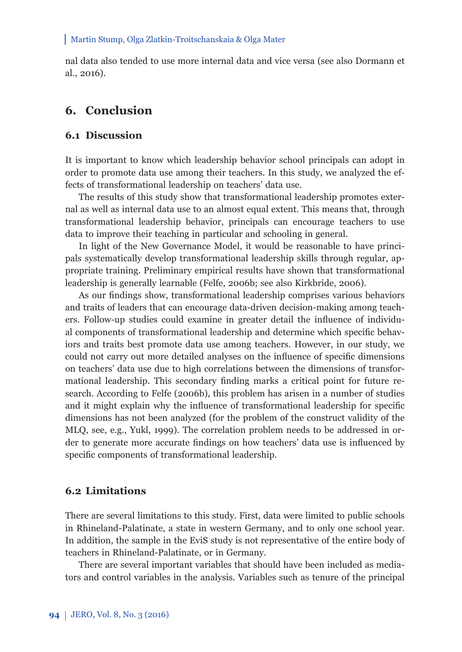nal data also tended to use more internal data and vice versa (see also Dormann et al., 2016).

# **6. Conclusion**

### **6.1 Discussion**

It is important to know which leadership behavior school principals can adopt in order to promote data use among their teachers. In this study, we analyzed the effects of transformational leadership on teachers' data use.

The results of this study show that transformational leadership promotes external as well as internal data use to an almost equal extent. This means that, through transformational leadership behavior, principals can encourage teachers to use data to improve their teaching in particular and schooling in general.

In light of the New Governance Model, it would be reasonable to have principals systematically develop transformational leadership skills through regular, appropriate training. Preliminary empirical results have shown that transformational leadership is generally learnable (Felfe, 2006b; see also Kirkbride, 2006).

As our findings show, transformational leadership comprises various behaviors and traits of leaders that can encourage data-driven decision-making among teachers. Follow-up studies could examine in greater detail the influence of individual components of transformational leadership and determine which specific behaviors and traits best promote data use among teachers. However, in our study, we could not carry out more detailed analyses on the influence of specific dimensions on teachers' data use due to high correlations between the dimensions of transformational leadership. This secondary finding marks a critical point for future research. According to Felfe (2006b), this problem has arisen in a number of studies and it might explain why the influence of transformational leadership for specific dimensions has not been analyzed (for the problem of the construct validity of the MLQ, see, e.g., Yukl, 1999). The correlation problem needs to be addressed in order to generate more accurate findings on how teachers' data use is influenced by specific components of transformational leadership.

# **6.2 Limitations**

There are several limitations to this study. First, data were limited to public schools in Rhineland-Palatinate, a state in western Germany, and to only one school year. In addition, the sample in the EviS study is not representative of the entire body of teachers in Rhineland-Palatinate, or in Germany.

There are several important variables that should have been included as mediators and control variables in the analysis. Variables such as tenure of the principal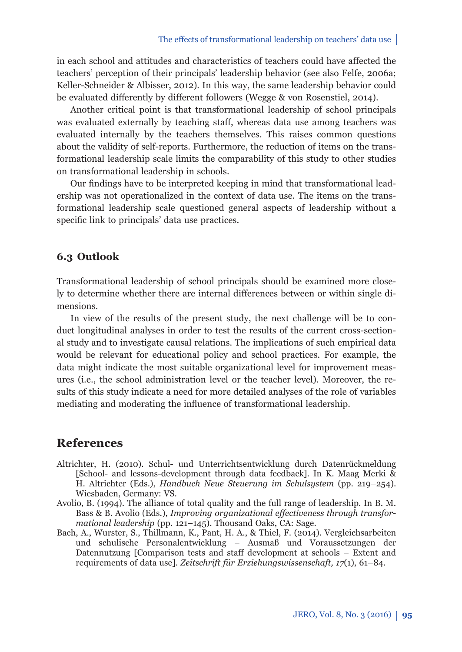in each school and attitudes and characteristics of teachers could have affected the teachers' perception of their principals' leadership behavior (see also Felfe, 2006a; Keller-Schneider & Albisser, 2012). In this way, the same leadership behavior could be evaluated differently by different followers (Wegge & von Rosenstiel, 2014).

Another critical point is that transformational leadership of school principals was evaluated externally by teaching staff, whereas data use among teachers was evaluated internally by the teachers themselves. This raises common questions about the validity of self-reports. Furthermore, the reduction of items on the transformational leadership scale limits the comparability of this study to other studies on transformational leadership in schools.

Our findings have to be interpreted keeping in mind that transformational leadership was not operationalized in the context of data use. The items on the transformational leadership scale questioned general aspects of leadership without a specific link to principals' data use practices.

## **6.3 Outlook**

Transformational leadership of school principals should be examined more closely to determine whether there are internal differences between or within single dimensions.

In view of the results of the present study, the next challenge will be to conduct longitudinal analyses in order to test the results of the current cross-sectional study and to investigate causal relations. The implications of such empirical data would be relevant for educational policy and school practices. For example, the data might indicate the most suitable organizational level for improvement measures (i.e., the school administration level or the teacher level). Moreover, the results of this study indicate a need for more detailed analyses of the role of variables mediating and moderating the influence of transformational leadership.

## **References**

- Altrichter, H. (2010). Schul- und Unterrichtsentwicklung durch Datenrückmeldung [School- and lessons-development through data feedback]. In K. Maag Merki & H. Altrichter (Eds.), *Handbuch Neue Steuerung im Schulsystem* (pp. 219–254). Wiesbaden, Germany: VS.
- Avolio, B. (1994). The alliance of total quality and the full range of leadership. In B. M. Bass & B. Avolio (Eds.), *Improving organizational effectiveness through transformational leadership* (pp. 121–145). Thousand Oaks, CA: Sage.
- Bach, A., Wurster, S., Thillmann, K., Pant, H. A., & Thiel, F. (2014). Vergleichsarbeiten und schulische Personalentwicklung – Ausmaß und Voraussetzungen der Datennutzung [Comparison tests and staff development at schools – Extent and requirements of data use]. *Zeitschrift für Erziehungswissenschaft, 17*(1), 61–84.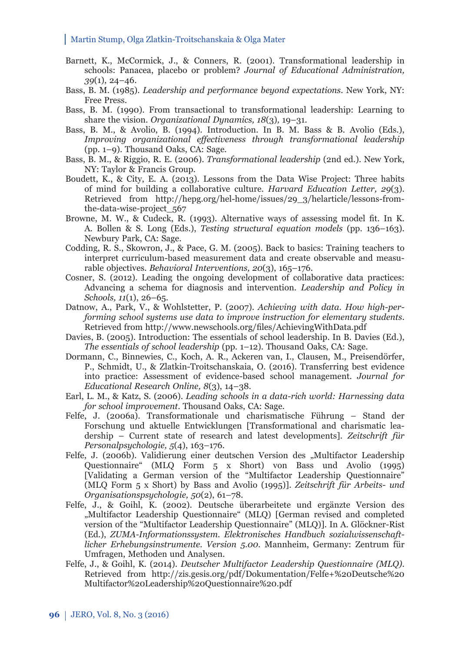- Barnett, K., McCormick, J., & Conners, R. (2001). Transformational leadership in schools: Panacea, placebo or problem? *Journal of Educational Administration, 39*(1), 24–46.
- Bass, B. M. (1985). *Leadership and performance beyond expectations*. New York, NY: Free Press.
- Bass, B. M. (1990). From transactional to transformational leadership: Learning to share the vision. *Organizational Dynamics, 18*(3)*,* 19–31.
- Bass, B. M., & Avolio, B. (1994). Introduction. In B. M. Bass & B. Avolio (Eds.), *Improving organizational effectiveness through transformational leadership* (pp. 1–9). Thousand Oaks, CA: Sage.
- Bass, B. M., & Riggio, R. E. (2006). *Transformational leadership* (2nd ed.). New York, NY: Taylor & Francis Group.
- Boudett, K., & City, E. A. (2013). Lessons from the Data Wise Project: Three habits of mind for building a collaborative culture. *Harvard Education Letter, 29*(3). Retrieved from http://hepg.org/hel-home/issues/29\_3/helarticle/lessons-fromthe-data-wise-project\_567
- Browne, M. W., & Cudeck, R. (1993). Alternative ways of assessing model fit. In K. A. Bollen & S. Long (Eds.), *Testing structural equation models* (pp. 136–163). Newbury Park, CA: Sage.
- Codding, R. S., Skowron, J., & Pace, G. M. (2005). Back to basics: Training teachers to interpret curriculum-based measurement data and create observable and measurable objectives. *Behavioral Interventions, 20*(3), 165–176.
- Cosner, S. (2012). Leading the ongoing development of collaborative data practices: Advancing a schema for diagnosis and intervention. *Leadership and Policy in Schools, 11*(1), 26–65.
- Datnow, A., Park, V., & Wohlstetter, P. (2007). *Achieving with data. How high-performing school systems use data to improve instruction for elementary students*. Retrieved from http://www.newschools.org/files/AchievingWithData.pdf
- Davies, B. (2005). Introduction: The essentials of school leadership. In B. Davies (Ed.), *The essentials of school leadership* (pp. 1–12). Thousand Oaks, CA: Sage.
- Dormann, C., Binnewies, C., Koch, A. R., Ackeren van, I., Clausen, M., Preisendörfer, P., Schmidt, U., & Zlatkin-Troitschanskaia, O. (2016). Transferring best evidence into practice: Assessment of evidence-based school management. *Journal for Educational Research Online, 8*(3), 14–38.
- Earl, L. M., & Katz, S. (2006). *Leading schools in a data-rich world: Harnessing data for school improvement*. Thousand Oaks, CA: Sage.
- Felfe, J. (2006a). Transformationale und charismatische Führung Stand der Forschung und aktuelle Entwicklungen [Transformational and charismatic leadership – Current state of research and latest developments]. *Zeitschrift für Personalpsychologie, 5*(4), 163–176.
- Felfe, J. (2006b). Validierung einer deutschen Version des "Multifactor Leadership Questionnaire" (MLQ Form 5 x Short) von Bass und Avolio (1995) [Validating a German version of the "Multifactor Leadership Questionnaire" (MLQ Form 5 x Short) by Bass and Avolio (1995)]. *Zeitschrift für Arbeits- und Orga nisa tionspsychologie, 50*(2), 61–78.
- Felfe, J., & Goihl, K. (2002). Deutsche überarbeitete und ergänzte Version des "Multifactor Leadership Questionnaire" (MLQ) [German revised and completed version of the "Multifactor Leadership Questionnaire" (MLQ)]. In A. Glöckner-Rist (Ed.), *ZUMA-Informationssystem. Elektronisches Handbuch sozialwissenschaftlicher Erhebungsinstrumente. Version 5.00.* Mannheim, Germany: Zentrum für Umfragen, Methoden und Analysen.
- Felfe, J., & Goihl, K. (2014). *Deutscher Multifactor Leadership Questionnaire (MLQ)*. Retrieved from http://zis.gesis.org/pdf/Dokumentation/Felfe+%20Deutsche%20 Multifactor%20Leadership%20Questionnaire%20.pdf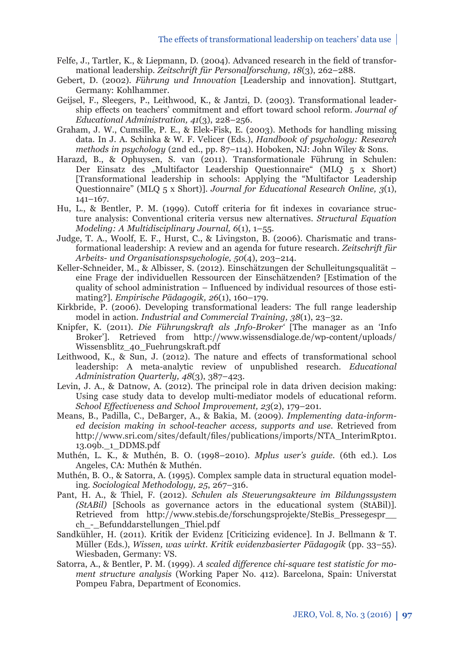- Felfe, J., Tartler, K., & Liepmann, D.  $(2004)$ . Advanced research in the field of transformational leadership. *Zeitschrift für Personalforschung, 18*(3), 262–288.
- Gebert, D. (2002). *Führung und Innovation* [Leadership and innovation]*.* Stuttgart, Germany: Kohlhammer.
- Geijsel, F., Sleegers, P., Leithwood, K., & Jantzi, D. (2003). Transformational leadership effects on teachers' commitment and effort toward school reform. *Journal of Educational Administration, 41*(3), 228–256.
- Graham, J. W., Cumsille, P. E., & Elek-Fisk, E. (2003). Methods for handling missing data. In J. A. Schinka & W. F. Velicer (Eds.), *Handbook of psychology: Research methods in psychology* (2nd ed., pp. 87–114). Hoboken, NJ: John Wiley & Sons.
- Harazd, B., & Ophuysen, S. van (2011). Transformationale Führung in Schulen: Der Einsatz des "Multifactor Leadership Questionnaire" (MLQ 5 x Short) [Transformational leadership in schools: Applying the "Multifactor Leadership Questionnaire" (MLQ 5 x Short)]. *Journal for Educational Research Online, 3*(1), 141–167.
- Hu, L., & Bentler, P. M. (1999). Cutoff criteria for fit indexes in covariance structure analysis: Conventional criteria versus new alternatives. *Structural Equation Modeling: A Multidisciplinary Journal, 6*(1), 1–55.
- Judge, T. A., Woolf, E. F., Hurst, C., & Livingston, B. (2006). Charismatic and transformational leadership: A review and an agenda for future research. *Zeitschrift für Arbeits- und Organisationspsychologie, 50*(4), 203–214.
- Keller-Schneider, M., & Albisser, S. (2012). Einschätzungen der Schulleitungsqualität eine Frage der individuellen Ressourcen der Einschätzenden? [Estimation of the quality of school administration – Influenced by individual resources of those estimating?]. *Empirische Pädagogik, 26*(1), 160–179.
- Kirkbride, P. (2006). Developing transformational leaders: The full range leadership model in action. *Industrial and Commercial Training, 38*(1), 23–32.
- Knipfer, K. (2011). *Die Führungskraft als 'Info-Broker'* [The manager as an 'Info Broker']. Retrieved from http://www.wissensdialoge.de/wp-content/uploads/ Wissensblitz\_40\_Fuehrungskraft.pdf
- Leithwood, K., & Sun, J. (2012). The nature and effects of transformational school leadership: A meta-analytic review of unpublished research. *Educational Administration Quarterly, 48*(3), 387–423.
- Levin, J. A., & Datnow, A. (2012). The principal role in data driven decision making: Using case study data to develop multi-mediator models of educational reform. *School Eff ectiveness and School Improvement, 23*(2), 179–201.
- Means, B., Padilla, C., DeBarger, A., & Bakia, M. (2009). *Implementing data-informed decision making in school-teacher access, supports and use*. Retrieved from http://www.sri.com/sites/default/files/publications/imports/NTA\_InterimRpt01. 13.09b.\_1\_DDMS.pdf
- Muthén, L. K., & Muthén, B. O. (1998–2010). *Mplus user's guide.* (6th ed.)*.* Los Angeles, CA: Muthén & Muthén.
- Muthén, B. O., & Satorra, A. (1995). Complex sample data in structural equation modeling. *Sociological Methodology, 25*, 267–316.
- Pant, H. A., & Thiel, F. (2012). *Schulen als Steuerungsakteure im Bildungssystem (StABil)* [Schools as governance actors in the educational system (StABil)]*.* Retrieved from http://www.stebis.de/forschungsprojekte/SteBis\_Pressegespr\_\_ ch\_-\_Befunddarstellungen\_Thiel.pdf
- Sandkühler, H. (2011). Kritik der Evidenz [Criticizing evidence]. In J. Bellmann & T. Müller (Eds.), *Wissen, was wirkt. Kritik evidenzbasierter Pädagogik* (pp. 33–55). Wiesbaden, Germany: VS.
- Satorra, A., & Bentler, P. M. (1999). *A scaled difference chi-square test statistic for moment structure analysis* (Working Paper No. 412). Barcelona, Spain: Universtat Pompeu Fabra, Department of Economics.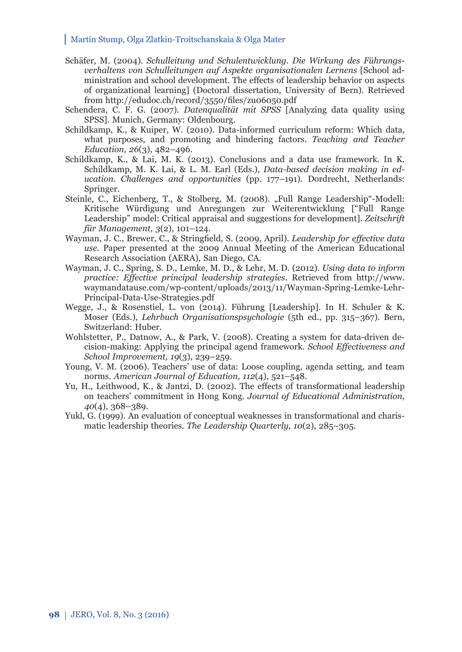- Schäfer, M. (2004). *Schulleitung und Schulentwicklung. Die Wirkung des Führungsverhaltens von Schulleitungen auf Aspekte organisationalen Lernens* [School administration and school development. The effects of leadership behavior on aspects of organizational learning] (Doctoral dissertation, University of Bern). Retrieved from http://edudoc.ch/record/3550/files/zu06050.pdf
- Schendera, C. F. G. (2007). *Datenqualität mit SPSS* [Analyzing data quality using SPSS]. Munich, Germany: Oldenbourg.
- Schildkamp, K., & Kuiper, W. (2010). Data-informed curriculum reform: Which data, what purposes, and promoting and hindering factors. *Teaching and Teacher Education, 26*(3), 482–496.
- Schildkamp, K., & Lai, M. K. (2013). Conclusions and a data use framework. In K. Schildkamp, M. K. Lai, & L. M. Earl (Eds.), *Data-based decision making in education. Challenges and opportunities* (pp. 177–191). Dordrecht, Netherlands: Springer.
- Steinle, C., Eichenberg, T., & Stolberg, M. (2008). "Full Range Leadership"-Modell: Kritische Würdigung und Anregungen zur Weiterentwicklung ["Full Range Leadership" model: Critical appraisal and suggestions for development]. *Zeitschrift für Management, 3*(2), 101–124.
- Wayman, J. C., Brewer, C., & Stringfield, S. (2009, April). *Leadership for effective data use.* Paper presented at the 2009 Annual Meeting of the American Educational Research Association (AERA), San Diego, CA.
- Wayman, J. C., Spring, S. D., Lemke, M. D., & Lehr, M. D. (2012). *Using data to inform practice: Eff ective principal leadership strategies*. Retrieved from http://www. waymandatause.com/wp-content/uploads/2013/11/Wayman-Spring-Lemke-Lehr-Principal-Data-Use-Strategies.pdf
- Wegge, J., & Rosenstiel, L. von (2014). Führung [Leadership]. In H. Schuler & K. Moser (Eds.), *Lehrbuch Organisationspsychologie* (5th ed., pp. 315–367). Bern, Switzerland: Huber.
- Wohlstetter, P., Datnow, A., & Park, V. (2008). Creating a system for data-driven decision-making: Applying the principal agend framework. *School Eff ectiveness and School Improvement, 19*(3), 239–259.
- Young, V. M. (2006). Teachers' use of data: Loose coupling, agenda setting, and team norms. *American Journal of Education, 112*(4), 521–548.
- Yu, H., Leithwood, K., & Jantzi, D. (2002). The effects of transformational leadership on teachers' commitment in Hong Kong. *Journal of Educational Administration, 40*(4), 368–389.
- Yukl, G. (1999). An evaluation of conceptual weaknesses in transformational and charismatic leadership theories. *The Leadership Quarterly, 10*(2), 285–305.